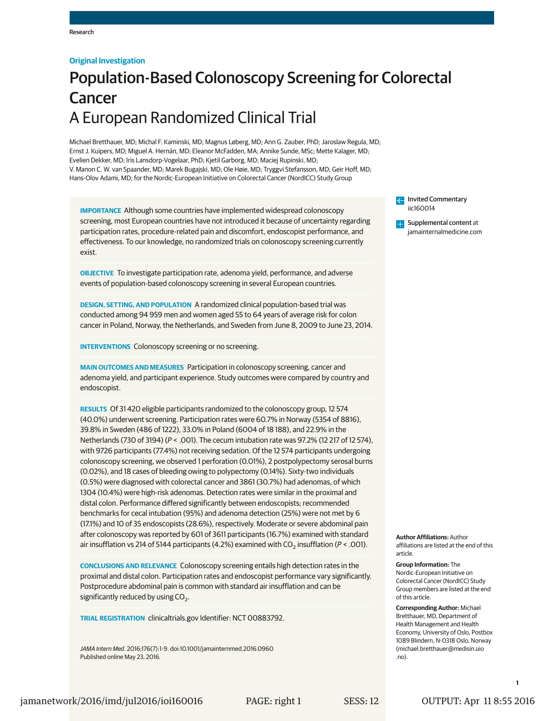### **Original Investigation**

# Population-Based Colonoscopy Screening for Colorectal **Cancer** A European Randomized Clinical Trial

Michael Bretthauer, MD; Michal F. Kaminski, MD; Magnus Løberg, MD; Ann G. Zauber, PhD; Jaroslaw Regula, MD; Ernst J. Kuipers, MD; Miguel A. Hernán, MD; Eleanor McFadden, MA; Annike Sunde, MSc; Mette Kalager, MD; Evelien Dekker, MD; Iris Lansdorp-Vogelaar, PhD; Kjetil Garborg, MD; Maciej Rupinski, MD; V. Manon C. W. van Spaander, MD; Marek Bugajski, MD; Ole Høie, MD; Tryggvi Stefansson, MD; Geir Hoff, MD; Hans-Olov Adami, MD; for the Nordic-European Initiative on Colorectal Cancer (NordICC) Study Group

**IMPORTANCE** Although some countries have implemented widespread colonoscopy screening, most European countries have not introduced it because of uncertainty regarding participation rates, procedure-related pain and discomfort, endoscopist performance, and effectiveness. To our knowledge, no randomized trials on colonoscopy screening currently exist.

**OBJECTIVE** To investigate participation rate, adenoma yield, performance, and adverse events of population-based colonoscopy screening in several European countries.

**DESIGN, SETTING, AND POPULATION** A randomized clinical population-based trial was conducted among 94 959 men and women aged 55 to 64 years of average risk for colon cancer in Poland, Norway, the Netherlands, and Sweden from June 8, 2009 to June 23, 2014.

**INTERVENTIONS** Colonoscopy screening or no screening.

**MAIN OUTCOMES AND MEASURES** Participation in colonoscopy screening, cancer and adenoma yield, and participant experience. Study outcomes were compared by country and endoscopist.

**RESULTS** Of 31 420 eligible participants randomized to the colonoscopy group, 12 574 (40.0%) underwent screening. Participation rates were 60.7% in Norway (5354 of 8816), 39.8% in Sweden (486 of 1222), 33.0% in Poland (6004 of 18 188), and 22.9% in the Netherlands (730 of 3194) (P < .001). The cecum intubation rate was 97.2% (12 217 of 12 574), with 9726 participants (77.4%) not receiving sedation. Of the 12 574 participants undergoing colonoscopy screening, we observed 1 perforation (0.01%), 2 postpolypectomy serosal burns (0.02%), and 18 cases of bleeding owing to polypectomy (0.14%). Sixty-two individuals (0.5%) were diagnosed with colorectal cancer and 3861 (30.7%) had adenomas, of which 1304 (10.4%) were high-risk adenomas. Detection rates were similar in the proximal and distal colon. Performance differed significantly between endoscopists; recommended benchmarks for cecal intubation (95%) and adenoma detection (25%) were not met by 6 (17.1%) and 10 of 35 endoscopists (28.6%), respectively. Moderate or severe abdominal pain after colonoscopy was reported by 601 of 3611 participants (16.7%) examined with standard air insufflation vs 214 of 5144 participants (4.2%) examined with  $CO_2$  insufflation ( $P < .001$ ).

**CONCLUSIONS AND RELEVANCE** Colonoscopy screening entails high detection rates in the proximal and distal colon. Participation rates and endoscopist performance vary significantly. Postprocedure abdominal pain is common with standard air insufflation and can be significantly reduced by using  $CO<sub>2</sub>$ .

**TRIAL REGISTRATION** clinicaltrials.gov Identifier: NCT 00883792.

JAMA Intern Med. 2016;176(7):1-9. doi:10.1001/jamainternmed.2016.0960 Published online May 23, 2016.

Invited Commentary iic160014

Supplemental content at jamainternalmedicine.com

**Author Affiliations:** Author affiliations are listed at the end of this article.

#### **Group Information:** The

Nordic-European Initiative on Colorectal Cancer (NordICC) Study Group members are listed at the end of this article.

**Corresponding Author:** Michael Bretthauer, MD, Department of Health Management and Health Economy, University of Oslo, Postbox 1089 Blindern, N-0318 Oslo, Norway (michael.bretthauer@medisin.uio .no).

**(Reprinted) 1**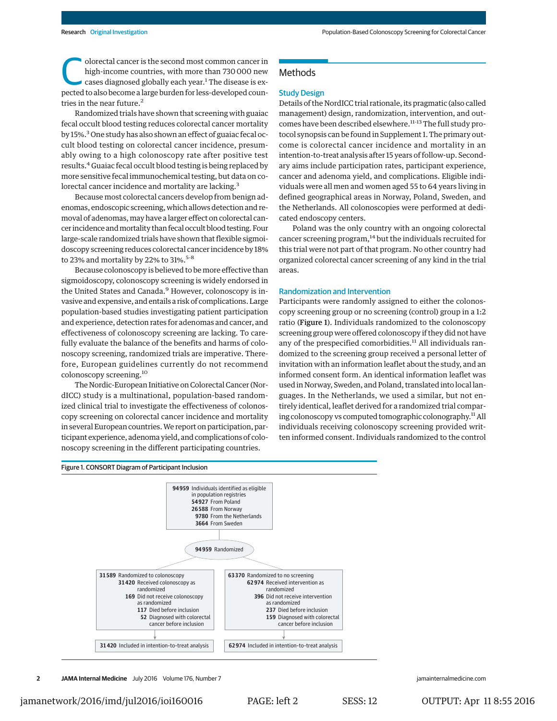olorectal cancer is the second most common cancer in high-income countries, with more than 730 000 new cases diagnosed globally each year.<sup>1</sup> The disease is expected to also become a large burden for less-developed countries in the near future. $^2$ 

Randomized trials have shown that screening with guaiac fecal occult blood testing reduces colorectal cancer mortality by 15%.<sup>3</sup> One study has also shown an effect of guaiac fecal occult blood testing on colorectal cancer incidence, presumably owing to a high colonoscopy rate after positive test results.<sup>4</sup> Guaiac fecal occult blood testing is being replaced by more sensitive fecal immunochemical testing, but data on colorectal cancer incidence and mortality are lacking.<sup>3</sup>

Because most colorectal cancers develop from benign adenomas, endoscopic screening, which allows detection and removal of adenomas, may have a larger effect on colorectal cancer incidence and mortality than fecal occult blood testing. Four large-scale randomized trials have shown that flexible sigmoidoscopy screening reduces colorectal cancer incidence by 18% to 23% and mortality by 22% to 31%. $5-8$ 

Because colonoscopy is believed to be more effective than sigmoidoscopy, colonoscopy screening is widely endorsed in the United States and Canada.<sup>9</sup> However, colonoscopy is invasive and expensive, and entails a risk of complications. Large population-based studies investigating patient participation and experience, detection rates for adenomas and cancer, and effectiveness of colonoscopy screening are lacking. To carefully evaluate the balance of the benefits and harms of colonoscopy screening, randomized trials are imperative. Therefore, European guidelines currently do not recommend colonoscopy screening.<sup>10</sup>

The Nordic-European Initiative on Colorectal Cancer (NordICC) study is a multinational, population-based randomized clinical trial to investigate the effectiveness of colonoscopy screening on colorectal cancer incidence and mortality in several European countries.We report on participation, participant experience, adenoma yield, and complications of colonoscopy screening in the different participating countries.

## Methods

#### Study Design

Details of the NordICC trial rationale, its pragmatic (also called management) design, randomization, intervention, and outcomes have been described elsewhere.<sup>11-13</sup> The full study protocol synopsis can be found in Supplement 1. The primary outcome is colorectal cancer incidence and mortality in an intention-to-treat analysis after 15 years of follow-up. Secondary aims include participation rates, participant experience, cancer and adenoma yield, and complications. Eligible individuals were all men and women aged 55 to 64 years living in defined geographical areas in Norway, Poland, Sweden, and the Netherlands. All colonoscopies were performed at dedicated endoscopy centers.

Poland was the only country with an ongoing colorectal cancer screening program,<sup>14</sup> but the individuals recruited for this trial were not part of that program. No other country had organized colorectal cancer screening of any kind in the trial areas.

#### Randomization and Intervention

Participants were randomly assigned to either the colonoscopy screening group or no screening (control) group in a 1:2 ratio (Figure 1). Individuals randomized to the colonoscopy screening group were offered colonoscopy if they did not have any of the prespecified comorbidities.<sup>11</sup> All individuals randomized to the screening group received a personal letter of invitation with an information leaflet about the study, and an informed consent form. An identical information leaflet was used in Norway, Sweden, and Poland, translated into local languages. In the Netherlands, we used a similar, but not entirely identical, leaflet derived for a randomized trial comparing colonoscopy vs computed tomographic colonography.<sup>11</sup> All individuals receiving colonoscopy screening provided written informed consent. Individuals randomized to the control



**2 JAMA Internal Medicine** July 2016 Volume 176, Number 7 **(Reprinted)** in the proportion of the proportion of the proportion of the proportion of the proportion of the proportion of the proportion of the proportion of t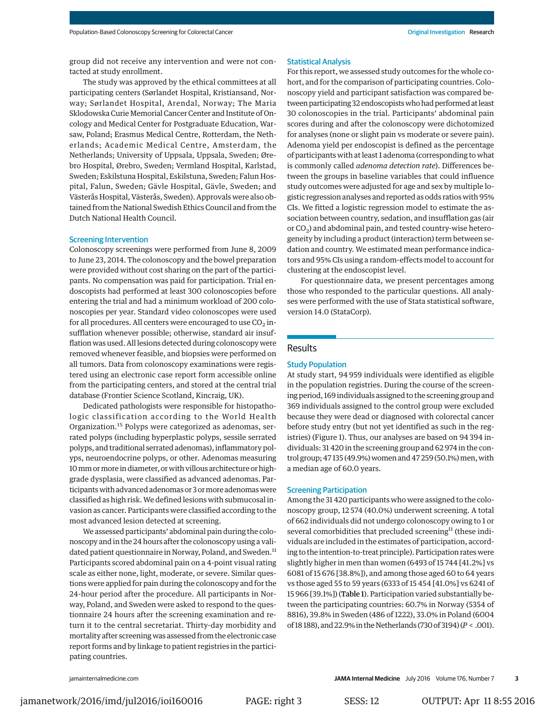group did not receive any intervention and were not contacted at study enrollment.

The study was approved by the ethical committees at all participating centers (Sørlandet Hospital, Kristiansand, Norway; Sørlandet Hospital, Arendal, Norway; The Maria Sklodowska Curie Memorial Cancer Center and Institute of Oncology and Medical Center for Postgraduate Education, Warsaw, Poland; Erasmus Medical Centre, Rotterdam, the Netherlands; Academic Medical Centre, Amsterdam, the Netherlands; University of Uppsala, Uppsala, Sweden; Ørebro Hospital, Ørebro, Sweden; Vermland Hospital, Karlstad, Sweden; Eskilstuna Hospital, Eskilstuna, Sweden; Falun Hospital, Falun, Sweden; Gävle Hospital, Gävle, Sweden; and Västerås Hospital, Västerås, Sweden). Approvals were also obtained from the National Swedish Ethics Council and from the Dutch National Health Council.

#### Screening Intervention

Colonoscopy screenings were performed from June 8, 2009 to June 23, 2014. The colonoscopy and the bowel preparation were provided without cost sharing on the part of the participants. No compensation was paid for participation. Trial endoscopists had performed at least 300 colonoscopies before entering the trial and had a minimum workload of 200 colonoscopies per year. Standard video colonoscopes were used for all procedures. All centers were encouraged to use  $CO<sub>2</sub>$  insufflation whenever possible; otherwise, standard air insufflation was used. All lesions detected during colonoscopy were removed whenever feasible, and biopsies were performed on all tumors. Data from colonoscopy examinations were registered using an electronic case report form accessible online from the participating centers, and stored at the central trial database (Frontier Science Scotland, Kincraig, UK).

Dedicated pathologists were responsible for histopathologic classification according to the World Health Organization.<sup>15</sup> Polyps were categorized as adenomas, serrated polyps (including hyperplastic polyps, sessile serrated polyps, and traditional serrated adenomas), inflammatory polyps, neuroendocrine polyps, or other. Adenomas measuring 10mm ormore in diameter, or with villous architecture or highgrade dysplasia, were classified as advanced adenomas. Participants with advanced adenomas or 3 or more adenomas were classified as high risk.We defined lesions with submucosal invasion as cancer. Participants were classified according to the most advanced lesion detected at screening.

We assessed participants' abdominal pain during the colonoscopy and in the 24 hours after the colonoscopy using a validated patient questionnaire in Norway, Poland, and Sweden.<sup>11</sup> Participants scored abdominal pain on a 4-point visual rating scale as either none, light, moderate, or severe. Similar questions were applied for pain during the colonoscopy and for the 24-hour period after the procedure. All participants in Norway, Poland, and Sweden were asked to respond to the questionnaire 24 hours after the screening examination and return it to the central secretariat. Thirty-day morbidity and mortality after screening was assessed from the electronic case report forms and by linkage to patient registries in the participating countries.

#### Statistical Analysis

For this report, we assessed study outcomes for the whole cohort, and for the comparison of participating countries. Colonoscopy yield and participant satisfaction was compared between participating 32 endoscopistswho had performed at least 30 colonoscopies in the trial. Participants' abdominal pain scores during and after the colonoscopy were dichotomized for analyses (none or slight pain vs moderate or severe pain). Adenoma yield per endoscopist is defined as the percentage of participants with at least 1 adenoma (corresponding to what is commonly called *adenoma detection rate*). Differences between the groups in baseline variables that could influence study outcomes were adjusted for age and sex by multiple logistic regression analyses and reported as odds ratios with 95% CIs. We fitted a logistic regression model to estimate the association between country, sedation, and insufflation gas (air or  $CO<sub>2</sub>$ ) and abdominal pain, and tested country-wise heterogeneity by including a product (interaction) term between sedation and country. We estimated mean performance indicators and 95% CIs using a random-effects model to account for clustering at the endoscopist level.

For questionnaire data, we present percentages among those who responded to the particular questions. All analyses were performed with the use of Stata statistical software, version 14.0 (StataCorp).

#### Results

#### Study Population

At study start, 94 959 individuals were identified as eligible in the population registries. During the course of the screening period, 169 individuals assigned to the screening group and 369 individuals assigned to the control group were excluded because they were dead or diagnosed with colorectal cancer before study entry (but not yet identified as such in the registries) (Figure 1). Thus, our analyses are based on 94 394 individuals: 31 420 in the screening group and 62 974 in the control group; 47 135 (49.9%) women and 47 259 (50.1%) men, with a median age of 60.0 years.

#### Screening Participation

Among the 31 420 participants who were assigned to the colonoscopy group, 12 574 (40.0%) underwent screening. A total of 662 individuals did not undergo colonoscopy owing to 1 or several comorbidities that precluded screening<sup>11</sup> (these individuals are included in the estimates of participation, according to the intention-to-treat principle). Participation rates were slightly higher in men than women (6493 of 15 744 [41.2%] vs 6081 of 15 676 [38.8%]), and among those aged 60 to 64 years vs those aged 55 to 59 years (6333 of 15 454 [41.0%] vs 6241 of 15 966 [39.1%]) (Table 1). Participation varied substantially between the participating countries: 60.7% in Norway (5354 of 8816), 39.8% in Sweden (486 of 1222), 33.0% in Poland (6004 of 18 188), and 22.9% in the Netherlands (730 of 3194) (*P* < .001).

jamainternalmedicine.com **(Reprinted) JAMA Internal Medicine** July 2016 Volume 176, Number 7 **3**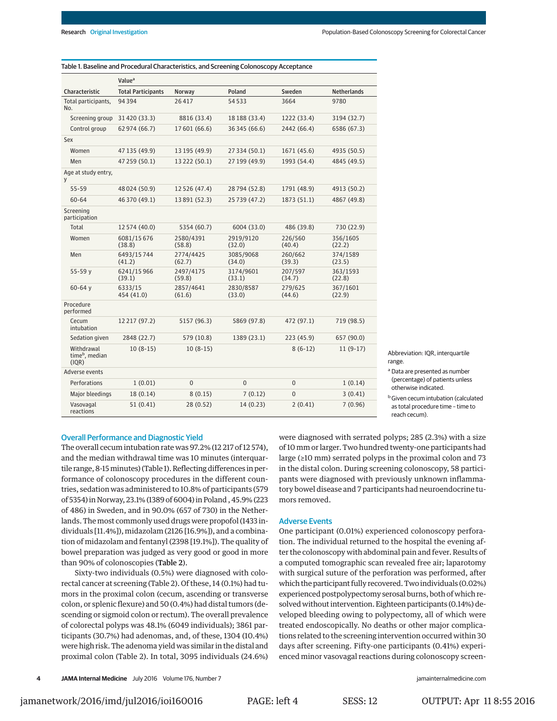|                                                   | Value <sup>a</sup>        |                     |                     |                   |                    |  |  |  |  |
|---------------------------------------------------|---------------------------|---------------------|---------------------|-------------------|--------------------|--|--|--|--|
| Characteristic                                    | <b>Total Participants</b> | Norway              | Poland              | Sweden            | <b>Netherlands</b> |  |  |  |  |
| Total participants,<br>No.                        | 94394                     | 26417               | 54533               | 3664              | 9780               |  |  |  |  |
| Screening group                                   | 31 420 (33.3)             | 8816 (33.4)         | 18 188 (33.4)       | 1222 (33.4)       | 3194 (32.7)        |  |  |  |  |
| Control group                                     | 62 974 (66.7)             | 17 601 (66.6)       | 36 345 (66.6)       | 2442 (66.4)       | 6586 (67.3)        |  |  |  |  |
| Sex                                               |                           |                     |                     |                   |                    |  |  |  |  |
| Women                                             | 47 135 (49.9)             | 13 195 (49.9)       | 27 334 (50.1)       | 1671 (45.6)       | 4935 (50.5)        |  |  |  |  |
| Men                                               | 47 259 (50.1)             | 13 222 (50.1)       | 27 199 (49.9)       | 1993 (54.4)       | 4845 (49.5)        |  |  |  |  |
| Age at study entry,<br>y                          |                           |                     |                     |                   |                    |  |  |  |  |
| $55 - 59$                                         | 48 024 (50.9)             | 12 526 (47.4)       | 28794 (52.8)        | 1791 (48.9)       | 4913 (50.2)        |  |  |  |  |
| 60-64                                             | 46 370 (49.1)             | 13 891 (52.3)       | 25739 (47.2)        | 1873 (51.1)       | 4867 (49.8)        |  |  |  |  |
| Screening<br>participation                        |                           |                     |                     |                   |                    |  |  |  |  |
| Total                                             | 12 574 (40.0)             | 5354 (60.7)         | 6004 (33.0)         | 486 (39.8)        | 730 (22.9)         |  |  |  |  |
| Women                                             | 6081/15676<br>(38.8)      | 2580/4391<br>(58.8) | 2919/9120<br>(32.0) | 226/560<br>(40.4) | 356/1605<br>(22.2) |  |  |  |  |
| Men                                               | 6493/15744<br>(41.2)      | 2774/4425<br>(62.7) | 3085/9068<br>(34.0) | 260/662<br>(39.3) | 374/1589<br>(23.5) |  |  |  |  |
| $55 - 59y$                                        | 6241/15966<br>(39.1)      | 2497/4175<br>(59.8) | 3174/9601<br>(33.1) | 207/597<br>(34.7) | 363/1593<br>(22.8) |  |  |  |  |
| $60 - 64y$                                        | 6333/15<br>454 (41.0)     | 2857/4641<br>(61.6) | 2830/8587<br>(33.0) | 279/625<br>(44.6) | 367/1601<br>(22.9) |  |  |  |  |
| Procedure<br>performed                            |                           |                     |                     |                   |                    |  |  |  |  |
| Cecum<br>intubation                               | 12 217 (97.2)             | 5157 (96.3)         | 5869 (97.8)         | 472 (97.1)        | 719 (98.5)         |  |  |  |  |
| Sedation given                                    | 2848 (22.7)               | 579 (10.8)          | 1389 (23.1)         | 223 (45.9)        | 657 (90.0)         |  |  |  |  |
| Withdrawal<br>time <sup>b</sup> , median<br>(IQR) | $10(8-15)$                | $10(8-15)$          |                     | $8(6-12)$         | $11(9-17)$         |  |  |  |  |
| Adverse events                                    |                           |                     |                     |                   |                    |  |  |  |  |
| Perforations                                      | 1(0.01)                   | $\mathbf{0}$        | $\mathbf{0}$        | $\mathbf{0}$      | 1(0.14)            |  |  |  |  |
| Major bleedings                                   | 18 (0.14)                 | 8(0.15)             | 7(0.12)             | $\mathbf{0}$      | 3(0.41)            |  |  |  |  |
| Vasovagal<br>reactions                            | 51(0.41)                  | 28 (0.52)           | 14(0.23)            | 2(0.41)           | 7(0.96)            |  |  |  |  |

Table 1. Baseline and Procedural Characteristics, and Screening Colonoscopy Acceptance

Abbreviation: IQR, interquartile range.

<sup>a</sup> Data are presented as number (percentage) of patients unless otherwise indicated.

**b** Given cecum intubation (calculated as total procedure time – time to reach cecum).

#### Overall Performance and Diagnostic Yield

The overall cecum intubation rate was 97.2% (12 217 of 12 574), and the median withdrawal time was 10 minutes (interquartile range, 8-15minutes) (Table 1). Reflecting differences in performance of colonoscopy procedures in the different countries, sedation was administered to 10.8% of participants (579 of 5354) in Norway, 23.1% (1389 of 6004) in Poland , 45.9% (223 of 486) in Sweden, and in 90.0% (657 of 730) in the Netherlands. The most commonly used drugs were propofol (1433 individuals [11.4%]), midazolam (2126 [16.9%]), and a combination of midazolam and fentanyl (2398 [19.1%]). The quality of bowel preparation was judged as very good or good in more than 90% of colonoscopies (Table 2).

Sixty-two individuals (0.5%) were diagnosed with colorectal cancer at screening (Table 2). Of these, 14 (0.1%) had tumors in the proximal colon (cecum, ascending or transverse colon, or splenic flexure) and 50 (0.4%) had distal tumors (descending or sigmoid colon or rectum). The overall prevalence of colorectal polyps was 48.1% (6049 individuals); 3861 participants (30.7%) had adenomas, and, of these, 1304 (10.4%) were high risk. The adenoma yield was similar in the distal and proximal colon (Table 2). In total, 3095 individuals (24.6%)

were diagnosed with serrated polyps; 285 (2.3%) with a size of 10 mm or larger. Two hundred twenty-one participants had large (≥10 mm) serrated polyps in the proximal colon and 73 in the distal colon. During screening colonoscopy, 58 participants were diagnosed with previously unknown inflammatory bowel disease and 7 participants had neuroendocrine tumors removed.

#### Adverse Events

One participant (0.01%) experienced colonoscopy perforation. The individual returned to the hospital the evening after the colonoscopy with abdominal pain and fever. Results of a computed tomographic scan revealed free air; laparotomy with surgical suture of the perforation was performed, after which the participant fully recovered. Two individuals (0.02%) experienced postpolypectomy serosal burns, both of which resolved without intervention. Eighteen participants (0.14%) developed bleeding owing to polypectomy, all of which were treated endoscopically. No deaths or other major complications related to the screening intervention occurred within 30 days after screening. Fifty-one participants (0.41%) experienced minor vasovagal reactions during colonoscopy screen-

**4 JAMA Internal Medicine** July 2016 Volume 176, Number 7 **(Reprinted)** jamainternalmedicine.com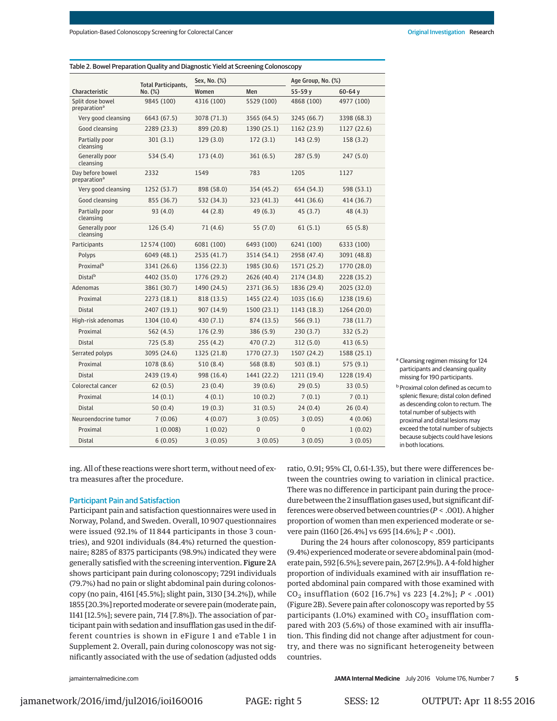|                                              |                                              | <b>Total Participants,</b> | Sex, No. (%) |             | Age Group, No. (%) |             |
|----------------------------------------------|----------------------------------------------|----------------------------|--------------|-------------|--------------------|-------------|
| Characteristic                               |                                              | $No. (\%)$                 | Women        | Men         | 55-59 y            | $60 - 64y$  |
| Split dose bowel<br>preparation <sup>a</sup> |                                              | 9845 (100)                 | 4316 (100)   | 5529 (100)  | 4868 (100)         | 4977 (100)  |
|                                              | Very good cleansing                          | 6643 (67.5)                | 3078 (71.3)  | 3565 (64.5) | 3245 (66.7)        | 3398 (68.3) |
|                                              | Good cleansing                               | 2289 (23.3)                | 899 (20.8)   | 1390 (25.1) | 1162 (23.9)        | 1127 (22.6) |
|                                              | Partially poor<br>cleansing                  | 301(3.1)                   | 129(3.0)     | 172(3.1)    | 143 (2.9)          | 158(3.2)    |
|                                              | Generally poor<br>cleansing                  | 534 (5.4)                  | 173 (4.0)    | 361(6.5)    | 287 (5.9)          | 247 (5.0)   |
|                                              | Day before bowel<br>preparation <sup>a</sup> | 2332                       | 1549         | 783         | 1205               | 1127        |
|                                              | Very good cleansing                          | 1252 (53.7)                | 898 (58.0)   | 354 (45.2)  | 654 (54.3)         | 598 (53.1)  |
|                                              | Good cleansing                               | 855 (36.7)                 | 532 (34.3)   | 323 (41.3)  | 441 (36.6)         | 414 (36.7)  |
|                                              | Partially poor<br>cleansing                  | 93(4.0)                    | 44 (2.8)     | 49(6.3)     | 45(3.7)            | 48 (4.3)    |
|                                              | Generally poor<br>cleansing                  | 126(5.4)                   | 71 (4.6)     | 55(7.0)     | 61(5.1)            | 65(5.8)     |
| Participants                                 |                                              | 12 574 (100)               | 6081 (100)   | 6493 (100)  | 6241 (100)         | 6333 (100)  |
|                                              | Polyps                                       | 6049 (48.1)                | 2535 (41.7)  | 3514 (54.1) | 2958 (47.4)        | 3091 (48.8) |
|                                              | Proximal <sup>b</sup>                        | 3341 (26.6)                | 1356 (22.3)  | 1985 (30.6) | 1571 (25.2)        | 1770 (28.0) |
|                                              | Distal <sup>b</sup>                          | 4402 (35.0)                | 1776 (29.2)  | 2626 (40.4) | 2174 (34.8)        | 2228 (35.2) |
|                                              | Adenomas                                     | 3861 (30.7)                | 1490 (24.5)  | 2371 (36.5) | 1836 (29.4)        | 2025 (32.0) |
|                                              | Proximal                                     | 2273 (18.1)                | 818 (13.5)   | 1455 (22.4) | 1035 (16.6)        | 1238 (19.6) |
|                                              | <b>Distal</b>                                | 2407 (19.1)                | 907 (14.9)   | 1500 (23.1) | 1143 (18.3)        | 1264 (20.0) |
| High-risk adenomas                           |                                              | 1304 (10.4)                | 430(7.1)     | 874 (13.5)  | 566(9.1)           | 738 (11.7)  |
|                                              | Proximal                                     | 562 (4.5)                  | 176(2.9)     | 386 (5.9)   | 230(3.7)           | 332 (5.2)   |
|                                              | <b>Distal</b>                                | 725 (5.8)                  | 255(4.2)     | 470 (7.2)   | 312(5.0)           | 413(6.5)    |
| Serrated polyps                              |                                              | 3095 (24.6)                | 1325 (21.8)  | 1770 (27.3) | 1507 (24.2)        | 1588 (25.1) |
|                                              | Proximal                                     | 1078 (8.6)                 | 510(8.4)     | 568 (8.8)   | 503(8.1)           | 575(9.1)    |
|                                              | <b>Distal</b>                                | 2439 (19.4)                | 998 (16.4)   | 1441 (22.2) | 1211 (19.4)        | 1228 (19.4) |
|                                              | Colorectal cancer                            | 62(0.5)                    | 23(0.4)      | 39 (0.6)    | 29(0.5)            | 33(0.5)     |
|                                              | Proximal                                     | 14(0.1)                    | 4(0.1)       | 10(0.2)     | 7(0.1)             | 7(0.1)      |
|                                              | <b>Distal</b>                                | 50(0.4)                    | 19(0.3)      | 31(0.5)     | 24(0.4)            | 26(0.4)     |
|                                              | Neuroendocrine tumor                         | 7(0.06)                    | 4(0.07)      | 3(0.05)     | 3(0.05)            | 4(0.06)     |
|                                              | Proximal                                     | 1(0.008)                   | 1(0.02)      | $\Omega$    | $\mathbf{0}$       | 1(0.02)     |
|                                              | <b>Distal</b>                                | 6(0.05)                    | 3(0.05)      | 3(0.05)     | 3(0.05)            | 3(0.05)     |

Table 2. Bowel Preparation Quality and Diagnostic Yield at Screening Colonoscopy

<sup>a</sup> Cleansing regimen missing for 124 participants and cleansing quality missing for 190 participants.

**b** Proximal colon defined as cecum to splenic flexure; distal colon defined as descending colon to rectum. The total number of subjects with proximal and distal lesions may exceed the total number of subjects because subjects could have lesions in both locations.

ing. All of these reactions were short term, without need of extra measures after the procedure.

#### Participant Pain and Satisfaction

Participant pain and satisfaction questionnaires were used in Norway, Poland, and Sweden. Overall, 10 907 questionnaires were issued (92.1% of 11 844 participants in those 3 countries), and 9201 individuals (84.4%) returned the questionnaire; 8285 of 8375 participants (98.9%) indicated they were generally satisfied with the screening intervention. Figure 2A shows participant pain during colonoscopy; 7291 individuals (79.7%) had no pain or slight abdominal pain during colonoscopy (no pain, 4161 [45.5%]; slight pain, 3130 [34.2%]), while 1855 [20.3%] reported moderate or severe pain (moderate pain, 1141 [12.5%]; severe pain, 714 [7.8%]). The association of participant pain with sedation and insufflation gas used in the different countries is shown in eFigure 1 and eTable 1 in Supplement 2. Overall, pain during colonoscopy was not significantly associated with the use of sedation (adjusted odds ratio, 0.91; 95% CI, 0.61-1.35), but there were differences between the countries owing to variation in clinical practice. There was no difference in participant pain during the procedure between the 2 insufflation gases used, but significant differences were observed between countries (*P* < .001). A higher proportion of women than men experienced moderate or severe pain (1160 [26.4%] vs 695 [14.6%]; *P* < .001).

During the 24 hours after colonoscopy, 859 participants (9.4%) experienced moderate or severe abdominal pain (moderate pain, 592 [6.5%]; severe pain, 267 [2.9%]). A 4-fold higher proportion of individuals examined with air insufflation reported abdominal pain compared with those examined with CO2 insufflation (602 [16.7%] vs 223 [4.2%]; *P* < .001) (Figure 2B). Severe pain after colonoscopy was reported by 55 participants (1.0%) examined with  $CO<sub>2</sub>$  insufflation compared with 203 (5.6%) of those examined with air insufflation. This finding did not change after adjustment for country, and there was no significant heterogeneity between countries.

jamainternalmedicine.com **(Reprinted) JAMA Internal Medicine** July 2016 Volume 176, Number 7 **5**

jamanetwork/2016/imd/jul2016/ioi160016 PAGE: right 5 SESS: 12 OUTPUT: Apr 11 8:55 2016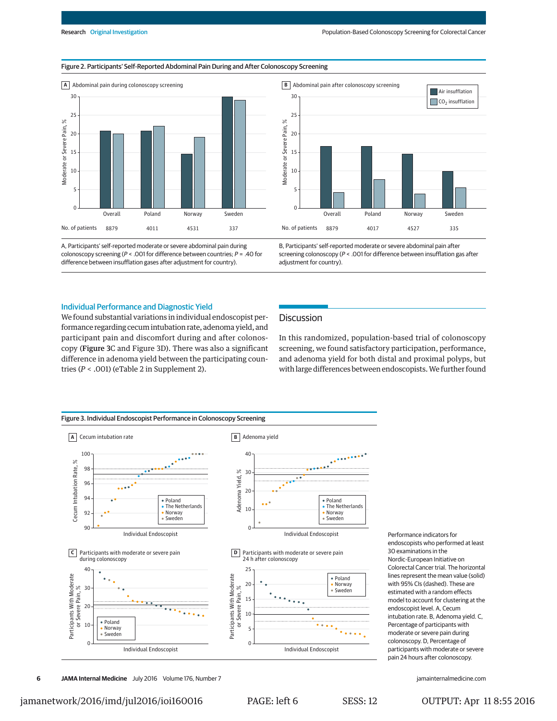#### Figure 2. Participants' Self-Reported Abdominal Pain During and After Colonoscopy Screening



A, Participants' self-reported moderate or severe abdominal pain during colonoscopy screening ( $P < .001$  for difference between countries;  $P = .40$  for difference between insufflation gases after adjustment for country).



B, Participants' self-reported moderate or severe abdominal pain after screening colonoscopy (P < .001 for difference between insufflation gas after adjustment for country).

#### Individual Performance and Diagnostic Yield

We found substantial variations in individual endoscopist performance regarding cecum intubation rate, adenoma yield, and participant pain and discomfort during and after colonoscopy (Figure 3C and Figure 3D). There was also a significant difference in adenoma yield between the participating countries (*P* < .001) (eTable 2 in Supplement 2).

#### **Discussion**

In this randomized, population-based trial of colonoscopy screening, we found satisfactory participation, performance, and adenoma yield for both distal and proximal polyps, but with large differences between endoscopists. We further found



Performance indicators for endoscopists who performed at least 30 examinations in the Nordic-European Initiative on Colorectal Cancer trial. The horizontal lines represent the mean value (solid) with 95% CIs (dashed). These are estimated with a random effects model to account for clustering at the endoscopist level. A, Cecum intubation rate. B, Adenoma yield. C, Percentage of participants with moderate or severe pain during colonoscopy. D, Percentage of participants with moderate or severe pain 24 hours after colonoscopy.

**6 JAMA Internal Medicine** July 2016 Volume 176, Number 7 **(Reprinted)** in the proportion of the proportion of the proportion of the proportion of the proportion of the proportion of the proportion of the proportion of the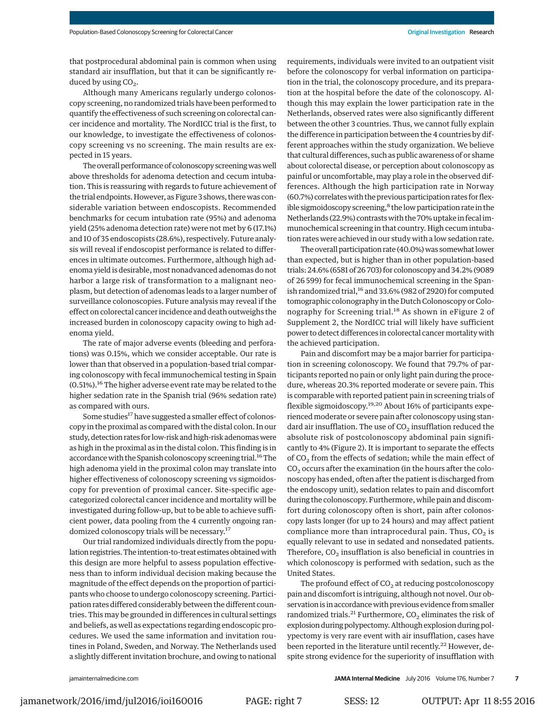that postprocedural abdominal pain is common when using standard air insufflation, but that it can be significantly reduced by using  $CO<sub>2</sub>$ .

Although many Americans regularly undergo colonoscopy screening, no randomized trials have been performed to quantify the effectiveness of such screening on colorectal cancer incidence and mortality. The NordICC trial is the first, to our knowledge, to investigate the effectiveness of colonoscopy screening vs no screening. The main results are expected in 15 years.

The overall performance of colonoscopy screening was well above thresholds for adenoma detection and cecum intubation. This is reassuring with regards to future achievement of the trial endpoints. However, as Figure 3 shows, there was considerable variation between endoscopists. Recommended benchmarks for cecum intubation rate (95%) and adenoma yield (25% adenoma detection rate) were not met by 6 (17.1%) and 10 of 35 endoscopists (28.6%), respectively. Future analysis will reveal if endoscopist performance is related to differences in ultimate outcomes. Furthermore, although high adenoma yield is desirable, most nonadvanced adenomas do not harbor a large risk of transformation to a malignant neoplasm, but detection of adenomas leads to a larger number of surveillance colonoscopies. Future analysis may reveal if the effect on colorectal cancer incidence and death outweighs the increased burden in colonoscopy capacity owing to high adenoma yield.

The rate of major adverse events (bleeding and perforations) was 0.15%, which we consider acceptable. Our rate is lower than that observed in a population-based trial comparing colonoscopy with fecal immunochemical testing in Spain (0.51%).<sup>16</sup> The higher adverse event rate may be related to the higher sedation rate in the Spanish trial (96% sedation rate) as compared with ours.

Some studies<sup>17</sup> have suggested a smaller effect of colonoscopy in the proximal as compared with the distal colon. In our study, detection rates for low-risk and high-risk adenomaswere as high in the proximal as in the distal colon. This finding is in accordance with the Spanish colonoscopy screening trial.<sup>16</sup> The high adenoma yield in the proximal colon may translate into higher effectiveness of colonoscopy screening vs sigmoidoscopy for prevention of proximal cancer. Site-specific agecategorized colorectal cancer incidence and mortality will be investigated during follow-up, but to be able to achieve sufficient power, data pooling from the 4 currently ongoing randomized colonoscopy trials will be necessary.<sup>17</sup>

Our trial randomized individuals directly from the population registries. The intention-to-treat estimates obtained with this design are more helpful to assess population effectiveness than to inform individual decision making because the magnitude of the effect depends on the proportion of participants who choose to undergo colonoscopy screening. Participation rates differed considerably between the different countries. This may be grounded in differences in cultural settings and beliefs, as well as expectations regarding endoscopic procedures. We used the same information and invitation routines in Poland, Sweden, and Norway. The Netherlands used a slightly different invitation brochure, and owing to national

requirements, individuals were invited to an outpatient visit before the colonoscopy for verbal information on participation in the trial, the colonoscopy procedure, and its preparation at the hospital before the date of the colonoscopy. Although this may explain the lower participation rate in the Netherlands, observed rates were also significantly different between the other 3 countries. Thus, we cannot fully explain the difference in participation between the 4 countries by different approaches within the study organization. We believe that cultural differences, such as public awareness of or shame about colorectal disease, or perception about colonoscopy as painful or uncomfortable, may play a role in the observed differences. Although the high participation rate in Norway (60.7%) correlates with the previous participation rates for flexible sigmoidoscopy screening,<sup>8</sup> the low participation rate in the Netherlands (22.9%) contrasts with the 70% uptake in fecal immunochemical screening in that country. High cecum intubation rates were achieved in our study with a low sedation rate.

The overall participation rate (40.0%) was somewhat lower than expected, but is higher than in other population-based trials: 24.6% (6581 of 26 703) for colonoscopy and 34.2% (9089 of 26 599) for fecal immunochemical screening in the Spanish randomized trial, $16$  and 33.6% (982 of 2920) for computed tomographic colonography in the Dutch Colonoscopy or Colonography for Screening trial.<sup>18</sup> As shown in eFigure 2 of Supplement 2, the NordICC trial will likely have sufficient power to detect differences in colorectal cancer mortality with the achieved participation.

Pain and discomfort may be a major barrier for participation in screening colonoscopy. We found that 79.7% of participants reported no pain or only light pain during the procedure, whereas 20.3% reported moderate or severe pain. This is comparable with reported patient pain in screening trials of flexible sigmoidoscopy.<sup>19,20</sup> About 16% of participants experienced moderate or severe pain after colonoscopy using standard air insufflation. The use of  $CO<sub>2</sub>$  insufflation reduced the absolute risk of postcolonoscopy abdominal pain significantly to 4% (Figure 2). It is important to separate the effects of  $CO<sub>2</sub>$  from the effects of sedation; while the main effect of  $CO<sub>2</sub>$  occurs after the examination (in the hours after the colonoscopy has ended, often after the patient is discharged from the endoscopy unit), sedation relates to pain and discomfort during the colonoscopy. Furthermore, while pain and discomfort during colonoscopy often is short, pain after colonoscopy lasts longer (for up to 24 hours) and may affect patient compliance more than intraprocedural pain. Thus,  $CO<sub>2</sub>$  is equally relevant to use in sedated and nonsedated patients. Therefore,  $CO<sub>2</sub>$  insufflation is also beneficial in countries in which colonoscopy is performed with sedation, such as the United States.

The profound effect of  $CO<sub>2</sub>$  at reducing postcolonoscopy pain and discomfort is intriguing, although not novel. Our observation is in accordance with previous evidence from smaller randomized trials.<sup>21</sup> Furthermore,  $CO<sub>2</sub>$  eliminates the risk of explosion during polypectomy. Although explosion during polypectomy is very rare event with air insufflation, cases have been reported in the literature until recently.<sup>22</sup> However, despite strong evidence for the superiority of insufflation with

jamainternalmedicine.com **(Reprinted) JAMA Internal Medicine** July 2016 Volume 176, Number 7 **7**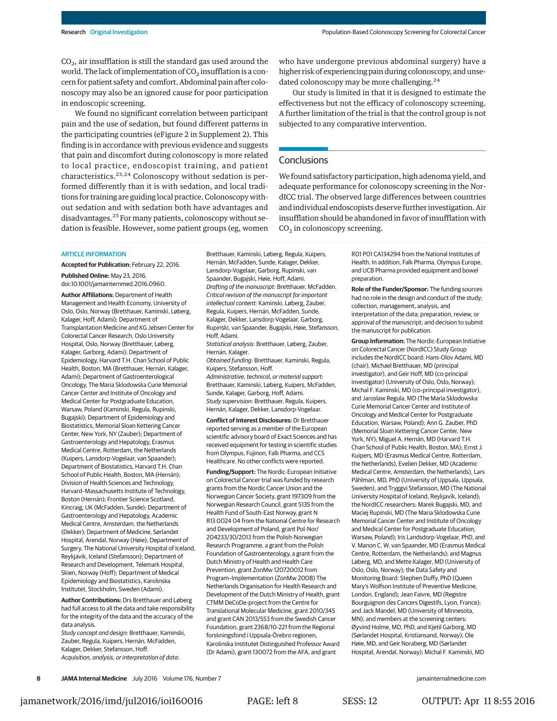$CO<sub>2</sub>$ , air insufflation is still the standard gas used around the world. The lack of implementation of  $CO<sub>2</sub>$  insufflation is a concern for patient safety and comfort. Abdominal pain after colonoscopy may also be an ignored cause for poor participation in endoscopic screening.

We found no significant correlation between participant pain and the use of sedation, but found different patterns in the participating countries (eFigure 2 in Supplement 2). This finding is in accordance with previous evidence and suggests that pain and discomfort during colonoscopy is more related to local practice, endoscopist training, and patient characteristics.<sup>23,24</sup> Colonoscopy without sedation is performed differently than it is with sedation, and local traditions for training are guiding local practice. Colonoscopy without sedation and with sedation both have advantages and disadvantages.<sup>23</sup> For many patients, colonoscopy without sedation is feasible. However, some patient groups (eg, women who have undergone previous abdominal surgery) have a higher risk of experiencing pain during colonoscopy, and unsedated colonoscopy may be more challenging.<sup>24</sup>

Our study is limited in that it is designed to estimate the effectiveness but not the efficacy of colonoscopy screening. A further limitation of the trial is that the control group is not subjected to any comparative intervention.

#### **Conclusions**

We found satisfactory participation, high adenoma yield, and adequate performance for colonoscopy screening in the NordICC trial. The observed large differences between countries and individual endoscopists deserve further investigation. Air insufflation should be abandoned in favor of insufflation with  $CO<sub>2</sub>$  in colonoscopy screening.

#### **ARTICLE INFORMATION**

**Accepted for Publication:** February 22, 2016.

**Published Online:** May 23, 2016. doi:10.1001/jamainternmed.2016.0960.

**Author Affiliations:** Department of Health Management and Health Economy, University of Oslo, Oslo, Norway (Bretthauer, Kaminski, Løberg, Kalager, Hoff, Adami); Department of Transplantation Medicine and KG Jebsen Center for Colorectal Cancer Research, Oslo University Hospital, Oslo, Norway (Bretthauer, Løberg, Kalager, Garborg, Adami); Department of Epidemiology, Harvard T.H. Chan School of Public Health, Boston, MA (Bretthauer, Hernán, Kalager, Adami); Department of Gastroenterological Oncology, The Maria Sklodowska Curie Memorial Cancer Center and Institute of Oncology and Medical Center for Postgraduate Education, Warsaw, Poland (Kaminski, Regula, Rupinski, Bugajski); Department of Epidemiology and Biostatistics, Memorial Sloan Kettering Cancer Center, New York, NY (Zauber); Department of Gastroenterology and Hepatology, Erasmus Medical Centre, Rotterdam, the Netherlands (Kuipers, Lansdorp-Vogelaar, van Spaander); Department of Biostatistics, Harvard T.H. Chan School of Public Health, Boston, MA (Hernán); Division of Health Sciences and Technology, Harvard–Massachusetts Institute of Technology, Boston (Hernán); Frontier Science Scotland, Kincraig, UK (McFadden, Sunde); Department of Gastroenterology and Hepatology, Academic Medical Centre, Amsterdam, the Netherlands (Dekker); Department of Medicine, Sørlandet Hospital, Arendal, Norway (Høie); Department of Surgery, The National University Hospital of Iceland, Reykjavik, Iceland (Stefansson); Department of Research and Development, Telemark Hospital, Skien, Norway (Hoff); Department of Medical Epidemiology and Biostatistics, Karolinska Institutet, Stockholm, Sweden (Adami).

**Author Contributions:** Drs Bretthauer and Løberg had full access to all the data and take responsibility for the integrity of the data and the accuracy of the data analysis.

Study concept and design: Bretthauer, Kaminski, Zauber, Regula, Kuipers, Hernán, McFadden, Kalager, Dekker, Stefansson, Hoff. Acquisition, analysis, or interpretation of data:

Bretthauer, Kaminski, Løberg, Regula, Kuipers, Hernán, McFadden, Sunde, Kalager, Dekker, Lansdorp-Vogelaar, Garborg, Rupinski, van Spaander, Bugajski, Høie, Hoff, Adami. Drafting of the manuscript: Bretthauer, McFadden. Critical revision of the manuscript for important intellectual content: Kaminski, Løberg, Zauber, Regula, Kuipers, Hernán, McFadden, Sunde, Kalager, Dekker, Lansdorp-Vogelaar, Garborg, Rupinski, van Spaander, Bugajski, Høie, Stefansson, Hoff, Adami.

Statistical analysis: Bretthauer, Løberg, Zauber, Hernán, Kalager.

Obtained funding: Bretthauer, Kaminski, Regula, Kuipers, Stefansson, Hoff.

Administrative, technical, or material support: Bretthauer, Kaminski, Løberg, Kuipers, McFadden, Sunde, Kalager, Garborg, Hoff, Adami. Study supervision: Bretthauer, Regula, Kuipers, Hernán, Kalager, Dekker, Lansdorp-Vogelaar.

**Conflict of Interest Disclosures:** Dr Bretthauer reported serving as a member of the European scientific advisory board of Exact Sciences and has received equipment for testing in scientific studies from Olympus, Fujinon, Falk Pharma, and CCS Healthcare. No other conflicts were reported.

**Funding/Support:** The Nordic-European Initiative on Colorectal Cancer trial was funded by research grants from the Nordic Cancer Union and the Norwegian Cancer Society, grant 197309 from the Norwegian Research Council, grant 5135 from the Health Fund of South-East Norway, grant N R13 0024 04 from the National Centre for Research and Development of Poland, grant Pol-Nor/ 204233/30/2013 from the Polish-Norwegian Research Programme, a grant from the Polish Foundation of Gastroenterology, a grant from the Dutch Ministry of Health and Health Care Prevention, grant ZonMw 120720012 from Program–Implementation (ZonMw 2008) The Netherlands Organisation for Health Research and Development of the Dutch Ministry of Health, grant CTMM DeCoDe-project from the Centre for Translational Molecular Medicine, grant 2010/345 and grant CAN 2013/553 from the Swedish Cancer Foundation, grant 2368/10-221 from the Regional forskningsfond i Uppsala-Örebro regionen, Karolinska Institutet Distinguished Professor Award (Dr Adami), grant 130072 from the AFA, and grant

R01 P01 CA134294 from the National Institutes of Health. In addition, Falk Pharma, Olympus Europe, and UCB Pharma provided equipment and bowel preparation.

**Role of the Funder/Sponsor:** The funding sources had no role in the design and conduct of the study; collection, management, analysis, and interpretation of the data; preparation, review, or approval of the manuscript; and decision to submit the manuscript for publication.

**Group Information:** The Nordic-European Initiative on Colorectal Cancer (NordICC) Study Group includes the NordICC board: Hans-Olov Adami, MD (chair), Michael Bretthauer, MD (principal investigator), and Geir Hoff, MD (co-principal investigator) (University of Oslo, Oslo, Norway); Michal F. Kaminski, MD (co-principal investigator), and Jaroslaw Regula, MD (The Maria Sklodowska Curie Memorial Cancer Center and Institute of Oncology and Medical Center for Postgraduate Education, Warsaw, Poland); Ann G. Zauber, PhD (Memorial Sloan Kettering Cancer Center, New York, NY); Miguel A. Hernán, MD (Harvard T.H. Chan School of Public Health, Boston, MA); Ernst J. Kuipers, MD (Erasmus Medical Centre, Rotterdam, the Netherlands), Evelien Dekker, MD (Academic Medical Centre, Amsterdam, the Netherlands), Lars Påhlman, MD, PhD (University of Uppsala, Uppsala, Sweden), and Tryggvi Stefansson, MD (The National University Hospital of Iceland, Reykjavik, Iceland); the NordICC researchers: Marek Bugajski, MD, and Maciej Rupinski, MD (The Maria Sklodowska Curie Memorial Cancer Center and Institute of Oncology and Medical Center for Postgraduate Education, Warsaw, Poland); Iris Landsdorp-Vogelaar, PhD, and V. Manon C. W. van Spaander, MD (Erasmus Medical Centre, Rotterdam, the Netherlands); and Magnus Løberg, MD, and Mette Kalager, MD (University of Oslo, Oslo, Norway); the Data Safety and Monitoring Board: Stephen Duffy, PhD (Queen Mary's Wolfson Institute of Preventive Medicine, London, England); Jean Faivre, MD (Registre Bourguignon des Cancers Digestifs, Lyon, France); and Jack Mandel, MD (University of Minnesota, MN); and members at the screening centers: Øyvind Holme, MD, PhD, and Kjetil Garborg, MD (Sørlandet Hospital, Kristiansand, Norway); Ole Høie, MD, and Geir Noraberg, MD (Sørlandet Hospital, Arendal, Norway); Michal F. Kaminski, MD

**8 JAMA Internal Medicine** July 2016 Volume 176, Number 7 **(Reprint to a compare 18)** amainternalmedicine.com